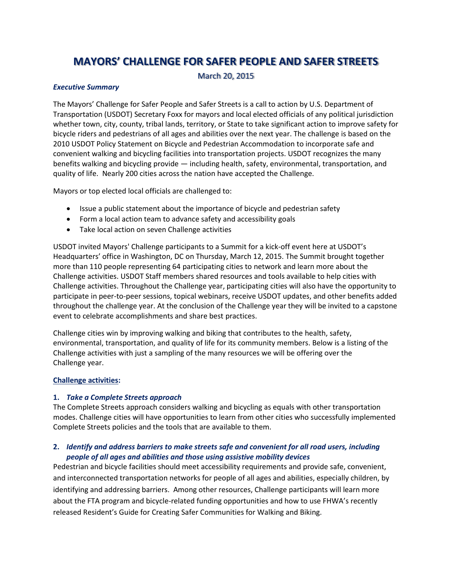# **MAYORS' CHALLENGE FOR SAFER PEOPLE AND SAFER STREETS**

March 20, 2015

#### *Executive Summary*

The Mayors' Challenge for Safer People and Safer Streets is a call to action by U.S. Department of Transportation (USDOT) Secretary Foxx for mayors and local elected officials of any political jurisdiction whether town, city, county, tribal lands, territory, or State to take significant action to improve safety for bicycle riders and pedestrians of all ages and abilities over the next year. The challenge is based on the 2010 USDOT Policy Statement on Bicycle and Pedestrian Accommodation to incorporate safe and convenient walking and bicycling facilities into transportation projects. USDOT recognizes the many benefits walking and bicycling provide — including health, safety, environmental, transportation, and quality of life. Nearly 200 cities across the nation have accepted the Challenge.

Mayors or top elected local officials are challenged to:

- Issue a public statement about the importance of bicycle and pedestrian safety
- Form a local action team to advance safety and accessibility goals
- Take local action on seven Challenge activities

USDOT invited Mayors' Challenge participants to a Summit for a kick-off event here at USDOT's Headquarters' office in Washington, DC on Thursday, March 12, 2015. The Summit brought together more than 110 people representing 64 participating cities to network and learn more about the Challenge activities. USDOT Staff members shared resources and tools available to help cities with Challenge activities. Throughout the Challenge year, participating cities will also have the opportunity to participate in peer-to-peer sessions, topical webinars, receive USDOT updates, and other benefits added throughout the challenge year. At the conclusion of the Challenge year they will be invited to a capstone event to celebrate accomplishments and share best practices.

Challenge cities win by improving walking and biking that contributes to the health, safety, environmental, transportation, and quality of life for its community members. Below is a listing of the Challenge activities with just a sampling of the many resources we will be offering over the Challenge year.

# **Challenge activities:**

# **1.** *Take a Complete Streets approach*

The Complete Streets approach considers walking and bicycling as equals with other transportation modes. Challenge cities will have opportunities to learn from other cities who successfully implemented Complete Streets policies and the tools that are available to them.

# **2.** *Identify and address barriers to make streets safe and convenient for all road users, including people of all ages and abilities and those using assistive mobility devices*

Pedestrian and bicycle facilities should meet accessibility requirements and provide safe, convenient, and interconnected transportation networks for people of all ages and abilities, especially children, by identifying and addressing barriers. Among other resources, Challenge participants will learn more about the FTA program and bicycle-related funding opportunities and how to use FHWA's recently released Resident's Guide for Creating Safer Communities for Walking and Biking.